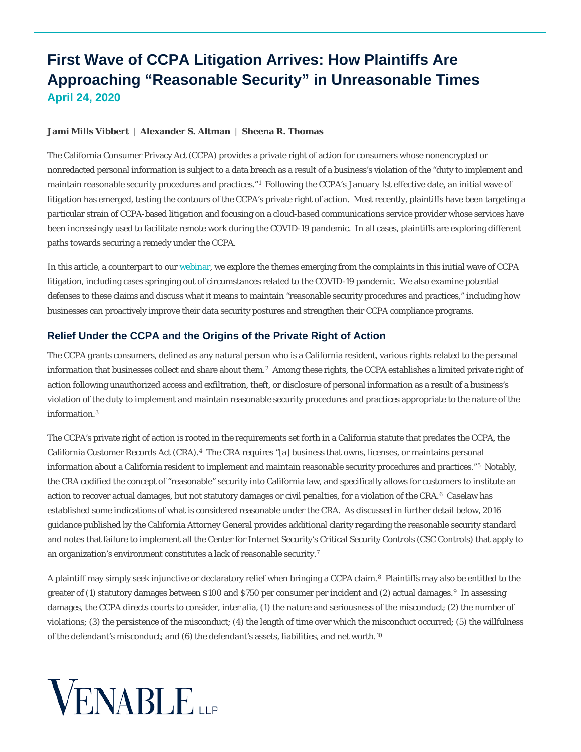# **First Wave of CCPA Litigation Arrives: How Plaintiffs Are Approaching "Reasonable Security" in Unreasonable Times April 24, 2020**

#### **[Jami Mills Vibbert](https://www.venable.com/professionals/v/jami-mills-vibbert)** | **[Alexander S. Altman](https://www.venable.com/professionals/a/alexander-s-altman)** | **[Sheena R. Thomas](https://www.venable.com/professionals/t/sheena-r-thomas)**

The California Consumer Privacy Act (CCPA) provides a private right of action for consumers whose nonencrypted or nonredacted personal information is subject to a data breach as a result of a business's violation of the "duty to implement and maintain reasonable security procedures and practices."[1](#page-4-0) Following the CCPA's January 1st effective date, an initial wave of litigation has emerged, testing the contours of the CCPA's private right of action. Most recently, plaintiffs have been targeting a particular strain of CCPA-based litigation and focusing on a cloud-based communications service provider whose services have been increasingly used to facilitate remote work during the COVID-19 pandemic. In all cases, plaintiffs are exploring different paths towards securing a remedy under the CCPA.

In this article, a counterpart to ou[r webinar,](https://www.venable.com/insights/events/2020/04/first-wave-of-ccpa-litigation-arrives) we explore the themes emerging from the complaints in this initial wave of CCPA litigation, including cases springing out of circumstances related to the COVID-19 pandemic. We also examine potential defenses to these claims and discuss what it means to maintain "reasonable security procedures and practices," including how businesses can proactively improve their data security postures and strengthen their CCPA compliance programs.

## **Relief Under the CCPA and the Origins of the Private Right of Action**

The CCPA grants consumers, defined as any natural person who is a California resident, various rights related to the personal information that businesses collect and share about them.[2](#page-4-1) Among these rights, the CCPA establishes a limited private right of action following unauthorized access and exfiltration, theft, or disclosure of personal information as a result of a business's violation of the duty to implement and maintain reasonable security procedures and practices appropriate to the nature of the information.[3](#page-5-0) 

The CCPA's private right of action is rooted in the requirements set forth in a California statute that predates the CCPA, the California Customer Records Act (CRA).[4](#page-5-1) The CRA requires "[a] business that owns, licenses, or maintains personal information about a California resident to implement and maintain reasonable security procedures and practices."[5](#page-5-2) Notably, the CRA codified the concept of "reasonable" security into California law, and specifically allows for customers to institute an action to recover actual damages, but not statutory damages or civil penalties, for a violation of the CRA.[6](#page-5-3) Caselaw has established some indications of what is considered reasonable under the CRA. As discussed in further detail below, 2016 guidance published by the California Attorney General provides additional clarity regarding the reasonable security standard and notes that failure to implement all the Center for Internet Security's Critical Security Controls (CSC Controls) that apply to an organization's environment constitutes a lack of reasonable security.[7](#page-5-4)

A plaintiff may simply seek injunctive or declaratory relief when bringing a CCPA claim.[8](#page-5-5) Plaintiffs may also be entitled to the greater of (1) statutory damages between \$100 and \$750 per consumer per incident and (2) actual damages.[9](#page-5-6) In assessing damages, the CCPA directs courts to consider, inter alia, (1) the nature and seriousness of the misconduct; (2) the number of violations; (3) the persistence of the misconduct; (4) the length of time over which the misconduct occurred; (5) the willfulness of the defendant's misconduct; and (6) the defendant's assets, liabilities, and net worth.[10](#page-5-7) 

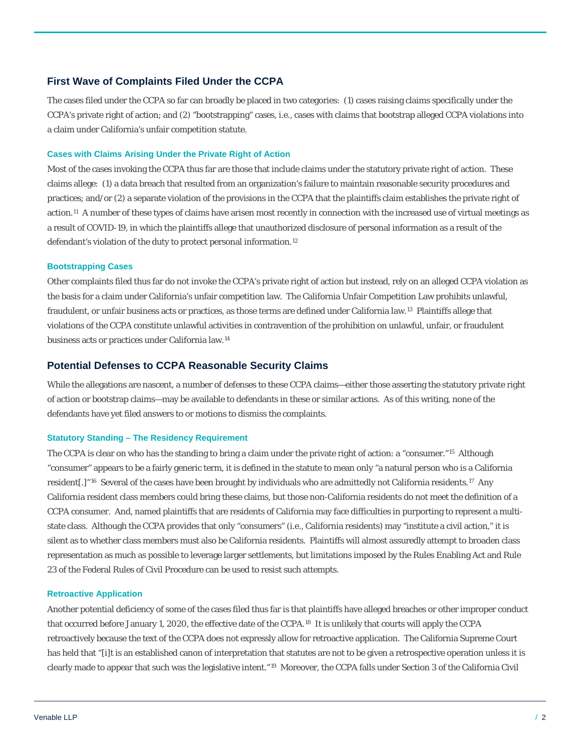## **First Wave of Complaints Filed Under the CCPA**

The cases filed under the CCPA so far can broadly be placed in two categories: (1) cases raising claims specifically under the CCPA's private right of action; and (2) "bootstrapping" cases, i.e., cases with claims that bootstrap alleged CCPA violations into a claim under California's unfair competition statute.

#### **Cases with Claims Arising Under the Private Right of Action**

Most of the cases invoking the CCPA thus far are those that include claims under the statutory private right of action. These claims allege: (1) a data breach that resulted from an organization's failure to maintain reasonable security procedures and practices; and/or (2) a separate violation of the provisions in the CCPA that the plaintiffs claim establishes the private right of action.[11](#page-5-8) A number of these types of claims have arisen most recently in connection with the increased use of virtual meetings as a result of COVID-19, in which the plaintiffs allege that unauthorized disclosure of personal information as a result of the defendant's violation of the duty to protect personal information.[12](#page-5-9) 

#### **Bootstrapping Cases**

Other complaints filed thus far do not invoke the CCPA's private right of action but instead, rely on an alleged CCPA violation as the basis for a claim under California's unfair competition law. The California Unfair Competition Law prohibits unlawful, fraudulent, or unfair business acts or practices, as those terms are defined under California law.[13](#page-5-10) Plaintiffs allege that violations of the CCPA constitute unlawful activities in contravention of the prohibition on unlawful, unfair, or fraudulent business acts or practices under California law.[14](#page-5-11)

## **Potential Defenses to CCPA Reasonable Security Claims**

While the allegations are nascent, a number of defenses to these CCPA claims—either those asserting the statutory private right of action or bootstrap claims—may be available to defendants in these or similar actions. As of this writing, none of the defendants have yet filed answers to or motions to dismiss the complaints.

#### **Statutory Standing – The Residency Requirement**

The CCPA is clear on who has the standing to bring a claim under the private right of action: a "consumer."[15](#page-5-12) Although "consumer" appears to be a fairly generic term, it is defined in the statute to mean only "a natural person who is a California resident[.]"<sup>16</sup> Several of the cases have been brought by individuals who are admittedly not California residents.<sup>17</sup> Any California resident class members could bring these claims, but those non-California residents do not meet the definition of a CCPA consumer. And, named plaintiffs that are residents of California may face difficulties in purporting to represent a multistate class. Although the CCPA provides that only "consumers" (i.e., California residents) may "institute a civil action," it is silent as to whether class members must also be California residents. Plaintiffs will almost assuredly attempt to broaden class representation as much as possible to leverage larger settlements, but limitations imposed by the Rules Enabling Act and Rule 23 of the Federal Rules of Civil Procedure can be used to resist such attempts.

#### **Retroactive Application**

Another potential deficiency of some of the cases filed thus far is that plaintiffs have alleged breaches or other improper conduct that occurred before January 1, 2020, the effective date of the CCPA.[18](#page-5-15) It is unlikely that courts will apply the CCPA retroactively because the text of the CCPA does not expressly allow for retroactive application. The California Supreme Court has held that "[i]t is an established canon of interpretation that statutes are not to be given a retrospective operation unless it is clearly made to appear that such was the legislative intent."[19](#page-5-16) Moreover, the CCPA falls under Section 3 of the California Civil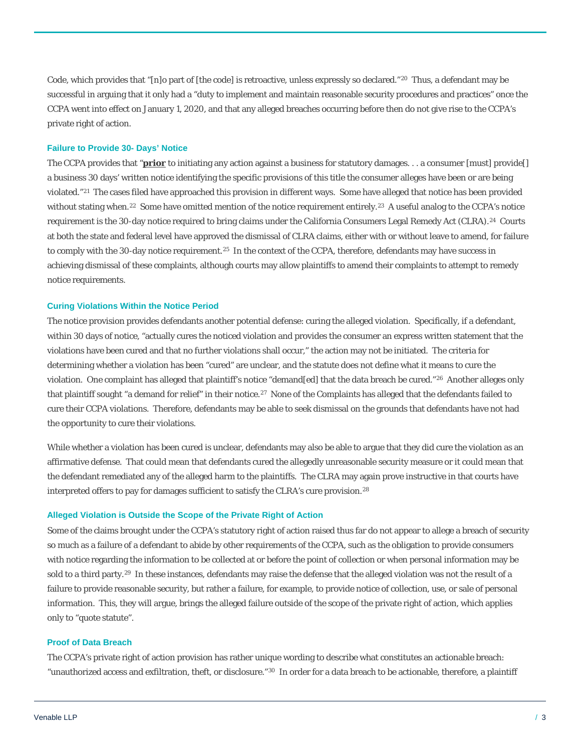Code, which provides that "[n]o part of [the code] is retroactive, unless expressly so declared."[20](#page-5-17) Thus, a defendant may be successful in arguing that it only had a "duty to implement and maintain reasonable security procedures and practices" once the CCPA went into effect on January 1, 2020, and that any alleged breaches occurring before then do not give rise to the CCPA's private right of action.

#### **Failure to Provide 30- Days' Notice**

The CCPA provides that "**prior** to initiating any action against a business for statutory damages. . . a consumer [must] provide[] a business 30 days' written notice identifying the specific provisions of this title the consumer alleges have been or are being violated."[21](#page-5-18) The cases filed have approached this provision in different ways. Some have alleged that notice has been provided without stating when.<sup>[22](#page-5-19)</sup> Some have omitted mention of the notice requirement entirely.<sup>23</sup> A useful analog to the CCPA's notice requirement is the 30-day notice required to bring claims under the California Consumers Legal Remedy Act (CLRA).<sup>24</sup> Courts at both the state and federal level have approved the dismissal of CLRA claims, either with or without leave to amend, for failure to comply with the 30-day notice requirement.<sup>[25](#page-5-22)</sup> In the context of the CCPA, therefore, defendants may have success in achieving dismissal of these complaints, although courts may allow plaintiffs to amend their complaints to attempt to remedy notice requirements.

#### **Curing Violations Within the Notice Period**

The notice provision provides defendants another potential defense: curing the alleged violation. Specifically, if a defendant, within 30 days of notice, "actually cures the noticed violation and provides the consumer an express written statement that the violations have been cured and that no further violations shall occur," the action may not be initiated. The criteria for determining whether a violation has been "cured" are unclear, and the statute does not define what it means to cure the violation. One complaint has alleged that plaintiff's notice "demand[ed] that the data breach be cured."[26](#page-5-23) Another alleges only that plaintiff sought "a demand for relief" in their notice[.27](#page-5-24) None of the Complaints has alleged that the defendants failed to cure their CCPA violations. Therefore, defendants may be able to seek dismissal on the grounds that defendants have not had the opportunity to cure their violations.

While whether a violation has been cured is unclear, defendants may also be able to argue that they did cure the violation as an affirmative defense. That could mean that defendants cured the allegedly unreasonable security measure or it could mean that the defendant remediated any of the alleged harm to the plaintiffs. The CLRA may again prove instructive in that courts have interpreted offers to pay for damages sufficient to satisfy the CLRA's cure provision.[28](#page-5-25)

#### **Alleged Violation is Outside the Scope of the Private Right of Action**

Some of the claims brought under the CCPA's statutory right of action raised thus far do not appear to allege a breach of security so much as a failure of a defendant to abide by other requirements of the CCPA, such as the obligation to provide consumers with notice regarding the information to be collected at or before the point of collection or when personal information may be sold to a third party.[29](#page-5-26) In these instances, defendants may raise the defense that the alleged violation was not the result of a failure to provide reasonable security, but rather a failure, for example, to provide notice of collection, use, or sale of personal information. This, they will argue, brings the alleged failure outside of the scope of the private right of action, which applies only to "quote statute".

#### **Proof of Data Breach**

The CCPA's private right of action provision has rather unique wording to describe what constitutes an actionable breach: "unauthorized access and exfiltration, theft, or disclosure."[30](#page-5-27) In order for a data breach to be actionable, therefore, a plaintiff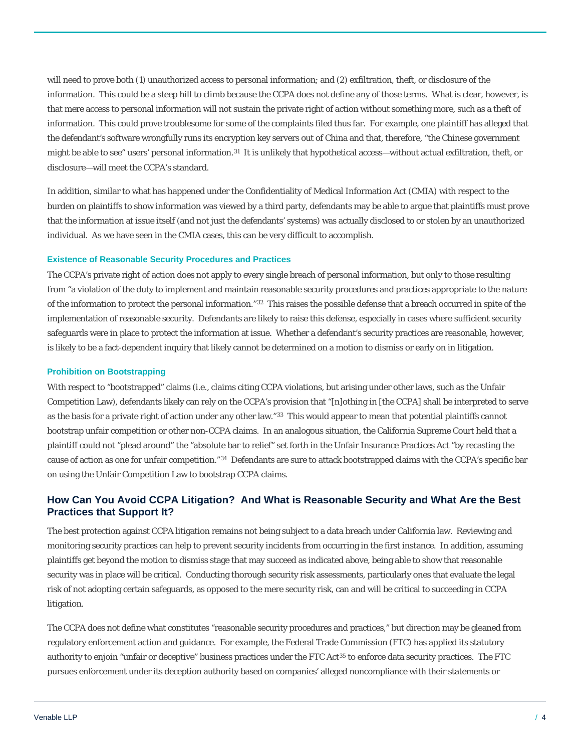will need to prove both (1) unauthorized access to personal information; and (2) exfiltration, theft, or disclosure of the information. This could be a steep hill to climb because the CCPA does not define any of those terms. What is clear, however, is that mere access to personal information will not sustain the private right of action without something more, such as a theft of information. This could prove troublesome for some of the complaints filed thus far. For example, one plaintiff has alleged that the defendant's software wrongfully runs its encryption key servers out of China and that, therefore, "the Chinese government might be able to see" users' personal information.<sup>[31](#page-5-28)</sup> It is unlikely that hypothetical access—without actual exfiltration, theft, or disclosure—will meet the CCPA's standard.

In addition, similar to what has happened under the Confidentiality of Medical Information Act (CMIA) with respect to the burden on plaintiffs to show information was viewed by a third party, defendants may be able to argue that plaintiffs must prove that the information at issue itself (and not just the defendants' systems) was actually disclosed to or stolen by an unauthorized individual. As we have seen in the CMIA cases, this can be very difficult to accomplish.

#### **Existence of Reasonable Security Procedures and Practices**

The CCPA's private right of action does not apply to every single breach of personal information, but only to those resulting from "a violation of the duty to implement and maintain reasonable security procedures and practices appropriate to the nature of the information to protect the personal information."[32](#page-5-29) This raises the possible defense that a breach occurred *in spite of* the implementation of reasonable security. Defendants are likely to raise this defense, especially in cases where sufficient security safeguards were in place to protect the information at issue. Whether a defendant's security practices are reasonable, however, is likely to be a fact-dependent inquiry that likely cannot be determined on a motion to dismiss or early on in litigation.

#### **Prohibition on Bootstrapping**

With respect to "bootstrapped" claims (i.e., claims citing CCPA violations, but arising under other laws, such as the Unfair Competition Law), defendants likely can rely on the CCPA's provision that "[n]othing in [the CCPA] shall be interpreted to serve as the basis for a private right of action under any other law."[33](#page-5-30) This would appear to mean that potential plaintiffs cannot bootstrap unfair competition or other non-CCPA claims. In an analogous situation, the California Supreme Court held that a plaintiff could not "plead around" the "absolute bar to relief" set forth in the Unfair Insurance Practices Act "by recasting the cause of action as one for unfair competition."[34](#page-5-31) Defendants are sure to attack bootstrapped claims with the CCPA's specific bar on using the Unfair Competition Law to bootstrap CCPA claims.

## **How Can You Avoid CCPA Litigation? And What is Reasonable Security and What Are the Best Practices that Support It?**

The best protection against CCPA litigation remains not being subject to a data breach under California law. Reviewing and monitoring security practices can help to prevent security incidents from occurring in the first instance. In addition, assuming plaintiffs get beyond the motion to dismiss stage that may succeed as indicated above, being able to show that reasonable security was in place will be critical. Conducting thorough security risk assessments, particularly ones that evaluate the legal risk of not adopting certain safeguards, as opposed to the mere security risk, can and will be critical to succeeding in CCPA litigation.

The CCPA does not define what constitutes "reasonable security procedures and practices," but direction may be gleaned from regulatory enforcement action and guidance. For example, the Federal Trade Commission (FTC) has applied its statutory authority to enjoin "unfair or deceptive" business practices under the FTC Act[35](#page-5-32) to enforce data security practices. The FTC pursues enforcement under its deception authority based on companies' alleged noncompliance with their statements or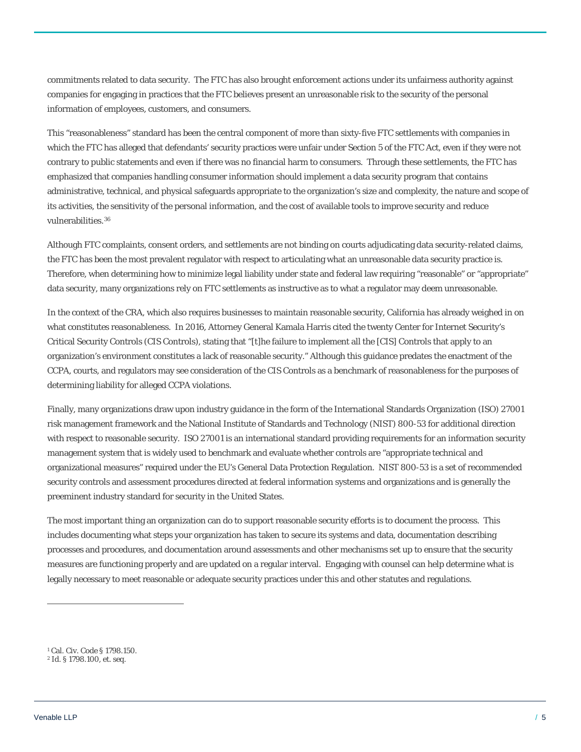commitments related to data security. The FTC has also brought enforcement actions under its unfairness authority against companies for engaging in practices that the FTC believes present an unreasonable risk to the security of the personal information of employees, customers, and consumers.

This "reasonableness" standard has been the central component of more than sixty-five FTC settlements with companies in which the FTC has alleged that defendants' security practices were unfair under Section 5 of the FTC Act, even if they were not contrary to public statements and even if there was no financial harm to consumers. Through these settlements, the FTC has emphasized that companies handling consumer information should implement a data security program that contains administrative, technical, and physical safeguards appropriate to the organization's size and complexity, the nature and scope of its activities, the sensitivity of the personal information, and the cost of available tools to improve security and reduce vulnerabilities.[36](#page-5-33)

Although FTC complaints, consent orders, and settlements are not binding on courts adjudicating data security-related claims, the FTC has been the most prevalent regulator with respect to articulating what an unreasonable data security practice is. Therefore, when determining how to minimize legal liability under state and federal law requiring "reasonable" or "appropriate" data security, many organizations rely on FTC settlements as instructive as to what a regulator may deem unreasonable.

In the context of the CRA, which also requires businesses to maintain reasonable security, California has already weighed in on what constitutes reasonableness. In 2016, Attorney General Kamala Harris cited the twenty Center for Internet Security's Critical Security Controls (CIS Controls), stating that "[t]he failure to implement all the [CIS] Controls that apply to an organization's environment constitutes a lack of reasonable security." Although this guidance predates the enactment of the CCPA, courts, and regulators may see consideration of the CIS Controls as a benchmark of reasonableness for the purposes of determining liability for alleged CCPA violations.

Finally, many organizations draw upon industry guidance in the form of the International Standards Organization (ISO) 27001 risk management framework and the National Institute of Standards and Technology (NIST) 800-53 for additional direction with respect to reasonable security. ISO 27001 is an international standard providing requirements for an information security management system that is widely used to benchmark and evaluate whether controls are "appropriate technical and organizational measures" required under the EU's General Data Protection Regulation. NIST 800-53 is a set of recommended security controls and assessment procedures directed at federal information systems and organizations and is generally the preeminent industry standard for security in the United States.

The most important thing an organization can do to support reasonable security efforts is to document the process. This includes documenting what steps your organization has taken to secure its systems and data, documentation describing processes and procedures, and documentation around assessments and other mechanisms set up to ensure that the security measures are functioning properly and are updated on a regular interval. Engaging with counsel can help determine what is legally necessary to meet reasonable or adequate security practices under this and other statutes and regulations.

 $\overline{a}$ 

<span id="page-4-0"></span><sup>1</sup> Cal. Civ. Code § 1798.150.

<span id="page-4-1"></span><sup>2</sup> *Id.* § 1798.100, *et. seq*.